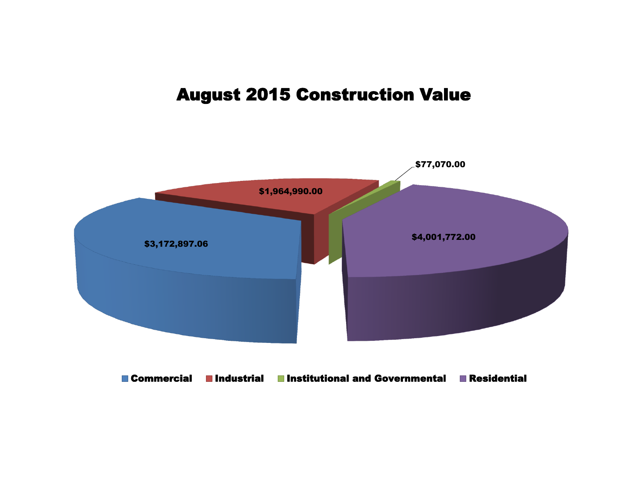# August 2015 Construction Value

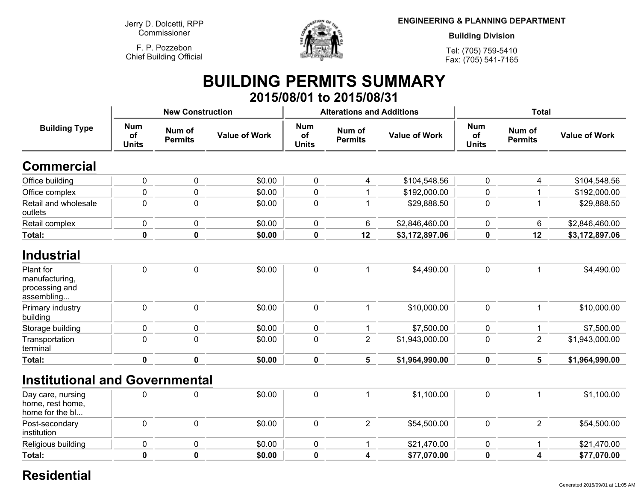**Jerry D. Dolcetti, RPPCommissioner**

**F. P. PozzebonChief Building Official**



**ENGINEERING & PLANNING DEPARTMENT**

**Building Division**

**Tel: (705) 759-5410Fax: (705) 541-7165**

### **BUILDING PERMITS SUMMARY 2015/08/01 to 2015/08/31**

|                                  |                          |                      |                                                                  |                          |                      | <b>Total</b>                                     |                          |                      |
|----------------------------------|--------------------------|----------------------|------------------------------------------------------------------|--------------------------|----------------------|--------------------------------------------------|--------------------------|----------------------|
| <b>Num</b><br>of<br><b>Units</b> | Num of<br><b>Permits</b> | <b>Value of Work</b> | <b>Num</b><br>of<br><b>Units</b>                                 | Num of<br><b>Permits</b> | <b>Value of Work</b> | <b>Num</b><br>of<br><b>Units</b>                 | Num of<br><b>Permits</b> | <b>Value of Work</b> |
|                                  |                          |                      |                                                                  |                          |                      |                                                  |                          |                      |
| $\pmb{0}$                        | $\pmb{0}$                | \$0.00               | 0                                                                | 4                        |                      | $\mathbf 0$                                      |                          | \$104,548.56         |
| $\pmb{0}$                        | $\mathbf 0$              | \$0.00               | $\mathbf 0$                                                      |                          | \$192,000.00         | 0                                                | 1                        | \$192,000.00         |
| $\mathbf 0$                      | $\overline{0}$           | \$0.00               | $\mathbf 0$                                                      |                          | \$29,888.50          | $\mathbf 0$                                      | 1                        | \$29,888.50          |
| $\pmb{0}$                        | $\mathbf 0$              | \$0.00               | $\mathbf 0$                                                      | 6                        | \$2,846,460.00       | 0                                                | 6                        | \$2,846,460.00       |
| $\mathbf 0$                      | $\mathbf 0$              | \$0.00               | $\pmb{0}$                                                        | 12                       | \$3,172,897.06       | 0                                                | 12                       | \$3,172,897.06       |
|                                  |                          |                      |                                                                  |                          |                      |                                                  |                          |                      |
| $\mathbf 0$                      | $\mathbf 0$              | \$0.00               | $\mathbf 0$                                                      |                          | \$4,490.00           | $\mathbf 0$                                      | 1                        | \$4,490.00           |
| $\pmb{0}$                        | $\pmb{0}$                | \$0.00               | $\mathbf 0$                                                      | 1                        | \$10,000.00          | $\mathbf 0$                                      | 1                        | \$10,000.00          |
| $\mathbf 0$                      | $\pmb{0}$                | \$0.00               | 0                                                                |                          | \$7,500.00           | 0                                                | 1                        | \$7,500.00           |
| $\mathbf 0$                      | $\overline{0}$           | \$0.00               | $\mathbf 0$                                                      | $\overline{2}$           | \$1,943,000.00       | $\mathbf 0$                                      | $\overline{2}$           | \$1,943,000.00       |
| 0                                | $\mathbf 0$              | \$0.00               | $\pmb{0}$                                                        | 5                        | \$1,964,990.00       | 0                                                | 5                        | \$1,964,990.00       |
|                                  |                          |                      |                                                                  |                          |                      |                                                  |                          |                      |
| $\mathbf 0$                      | $\mathbf 0$              | \$0.00               | $\mathbf 0$                                                      | 1                        | \$1,100.00           | $\mathbf 0$                                      | 1                        | \$1,100.00           |
| $\mathbf 0$                      | $\mathbf 0$              | \$0.00               | $\mathbf 0$                                                      | $\overline{2}$           | \$54,500.00          | $\mathbf 0$                                      | $\overline{2}$           | \$54,500.00          |
| 0                                | $\mathbf 0$              | \$0.00               | $\mathbf 0$                                                      |                          | \$21,470.00          | $\mathbf 0$                                      | 1                        | \$21,470.00          |
|                                  |                          |                      | <b>New Construction</b><br><b>Institutional and Governmental</b> |                          |                      | <b>Alterations and Additions</b><br>\$104,548.56 |                          | 4                    |

**<sup>0</sup> \$0.00 <sup>0</sup> <sup>4</sup> \$77,070.00 <sup>0</sup> <sup>4</sup> \$77,070.00**

#### **Residential**

**<sup>0</sup>**

**Total:**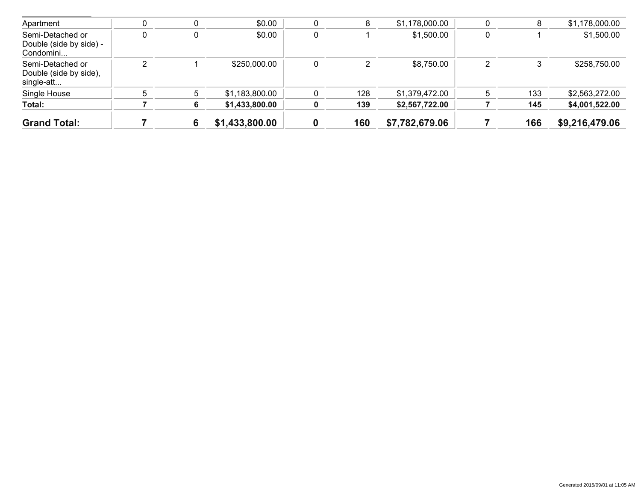| <b>Grand Total:</b>                                      |   | 6 | \$1,433,800.00 | 0 | 160 | \$7,782,679.06 |   | 166 | \$9,216,479.06 |
|----------------------------------------------------------|---|---|----------------|---|-----|----------------|---|-----|----------------|
| Total:                                                   |   |   | \$1,433,800.00 |   | 139 | \$2,567,722.00 |   | 145 | \$4,001,522.00 |
| Single House                                             |   | 5 | \$1,183,800.00 |   | 128 | \$1,379,472.00 |   | 133 | \$2,563,272.00 |
| Semi-Detached or<br>Double (side by side),<br>single-att | ◠ |   | \$250,000.00   | 0 |     | \$8,750.00     |   | 3   | \$258,750.00   |
| Semi-Detached or<br>Double (side by side) -<br>Condomini |   | 0 | \$0.00         | 0 |     | \$1,500.00     | 0 |     | \$1,500.00     |
| Apartment                                                |   | 0 | \$0.00         |   | 8   | \$1,178,000.00 |   | 8   | \$1,178,000.00 |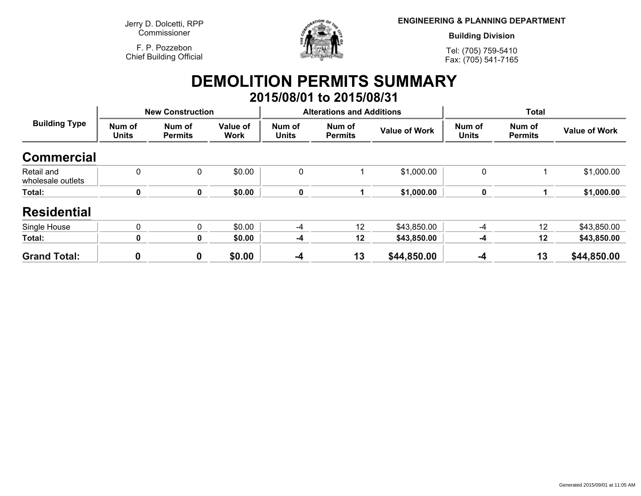**Jerry D. Dolcetti, RPPCommissioner**

**F. P. PozzebonChief Building Official**



**ENGINEERING & PLANNING DEPARTMENT**

**Building Division**

**Tel: (705) 759-5410Fax: (705) 541-7165**

### **DEMOLITION PERMITS SUMMARY 2015/08/01 to 2015/08/31**

| <b>Building Type</b>            | <b>New Construction</b> |                          |                         |                        | <b>Alterations and Additions</b> |                      | <b>Total</b>           |                          |                      |
|---------------------------------|-------------------------|--------------------------|-------------------------|------------------------|----------------------------------|----------------------|------------------------|--------------------------|----------------------|
|                                 | Num of<br><b>Units</b>  | Num of<br><b>Permits</b> | Value of<br><b>Work</b> | Num of<br><b>Units</b> | Num of<br><b>Permits</b>         | <b>Value of Work</b> | Num of<br><b>Units</b> | Num of<br><b>Permits</b> | <b>Value of Work</b> |
| <b>Commercial</b>               |                         |                          |                         |                        |                                  |                      |                        |                          |                      |
| Retail and<br>wholesale outlets | 0                       | 0                        | \$0.00                  | 0                      |                                  | \$1,000.00           | 0                      |                          | \$1,000.00           |
| Total:                          | 0                       | 0                        | \$0.00                  | 0                      |                                  | \$1,000.00           | 0                      |                          | \$1,000.00           |
| <b>Residential</b>              |                         |                          |                         |                        |                                  |                      |                        |                          |                      |
| Single House                    | 0                       | 0                        | \$0.00                  | -4                     | 12                               | \$43,850.00          | $-4$                   | 12                       | \$43,850.00          |
| Total:                          | 0                       | 0                        | \$0.00                  | -4                     | 12                               | \$43,850.00          | -4                     | 12                       | \$43,850.00          |
| <b>Grand Total:</b>             |                         | 0                        | \$0.00                  | $-4$                   | 13                               | \$44,850.00          | $-4$                   | 13                       | \$44,850.00          |